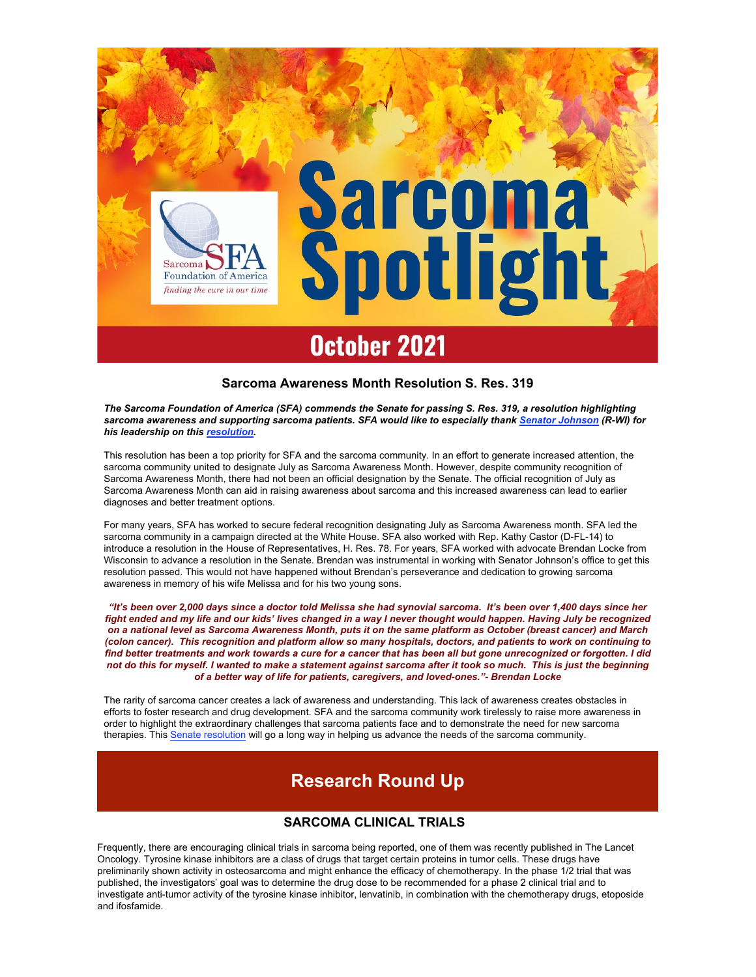

## Sarcoma Awareness Month Resolution S. Res. 319

The Sarcoma Foundation of America (SFA) commends the Senate for passing S. Res. 319, a resolution highlighting sarcoma awareness and supporting sarcoma patients. SFA would like to especially thank Senator Johnson (R-WI) for his leadership on this resolution.

This resolution has been a top priority for SFA and the sarcoma community. In an effort to generate increased attention, the sarcoma community united to designate July as Sarcoma Awareness Month. However, despite community recognition of Sarcoma Awareness Month, there had not been an official designation by the Senate. The official recognition of July as Sarcoma Awareness Month can aid in raising awareness about sarcoma and this increased awareness can lead to earlier diagnoses and better treatment options.

For many years, SFA has worked to secure federal recognition designating July as Sarcoma Awareness month. SFA led the sarcoma community in a campaign directed at the White House. SFA also worked with Rep. Kathy Castor (D-FL-14) to introduce a resolution in the House of Representatives, H. Res. 78. For years, SFA worked with advocate Brendan Locke from Wisconsin to advance a resolution in the Senate. Brendan was instrumental in working with Senator Johnson's office to get this resolution passed. This would not have happened without Brendan's perseverance and dedication to growing sarcoma awareness in memory of his wife Melissa and for his two young sons.

"It's been over 2,000 days since a doctor told Melissa she had synovial sarcoma. It's been over 1,400 days since her fight ended and my life and our kids' lives changed in a way I never thought would happen. Having July be recognized on a national level as Sarcoma Awareness Month, puts it on the same platform as October (breast cancer) and March (colon cancer). This recognition and platform allow so many hospitals, doctors, and patients to work on continuing to find better treatments and work towards a cure for a cancer that has been all but gone unrecognized or forgotten. I did not do this for myself. I wanted to make a statement against sarcoma after it took so much. This is just the beginning of a better way of life for patients, caregivers, and loved-ones."- Brendan Locke

The rarity of sarcoma cancer creates a lack of awareness and understanding. This lack of awareness creates obstacles in efforts to foster research and drug development. SFA and the sarcoma community work tirelessly to raise more awareness in order to highlight the extraordinary challenges that sarcoma patients face and to demonstrate the need for new sarcoma therapies. This Senate resolution will go a long way in helping us advance the needs of the sarcoma community.

# Research Round Up

# SARCOMA CLINICAL TRIALS

Frequently, there are encouraging clinical trials in sarcoma being reported, one of them was recently published in The Lancet Oncology. Tyrosine kinase inhibitors are a class of drugs that target certain proteins in tumor cells. These drugs have preliminarily shown activity in osteosarcoma and might enhance the efficacy of chemotherapy. In the phase 1/2 trial that was published, the investigators' goal was to determine the drug dose to be recommended for a phase 2 clinical trial and to investigate anti-tumor activity of the tyrosine kinase inhibitor, lenvatinib, in combination with the chemotherapy drugs, etoposide and ifosfamide.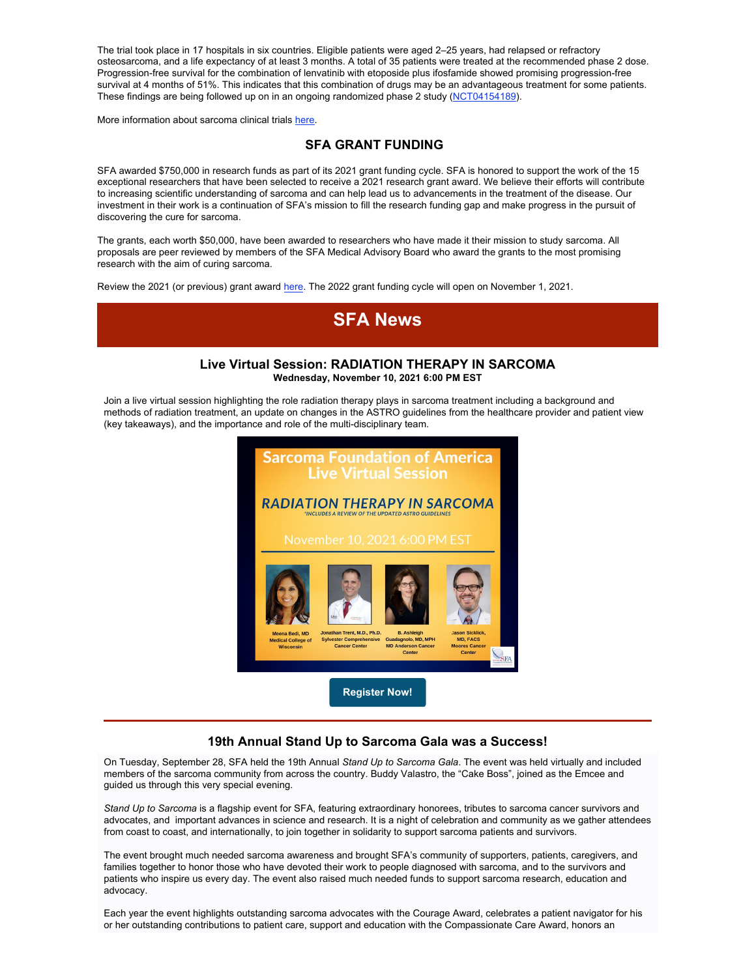The trial took place in 17 hospitals in six countries. Eligible patients were aged 2–25 years, had relapsed or refractory osteosarcoma, and a life expectancy of at least 3 months. A total of 35 patients were treated at the recommended phase 2 dose. Progression-free survival for the combination of lenvatinib with etoposide plus ifosfamide showed promising progression-free survival at 4 months of 51%. This indicates that this combination of drugs may be an advantageous treatment for some patients. These findings are being followed up on in an ongoing randomized phase 2 study (NCT04154189).

More information about sarcoma clinical trials here.

# SFA GRANT FUNDING

SFA awarded \$750,000 in research funds as part of its 2021 grant funding cycle. SFA is honored to support the work of the 15 exceptional researchers that have been selected to receive a 2021 research grant award. We believe their efforts will contribute to increasing scientific understanding of sarcoma and can help lead us to advancements in the treatment of the disease. Our investment in their work is a continuation of SFA's mission to fill the research funding gap and make progress in the pursuit of discovering the cure for sarcoma.

The grants, each worth \$50,000, have been awarded to researchers who have made it their mission to study sarcoma. All proposals are peer reviewed by members of the SFA Medical Advisory Board who award the grants to the most promising research with the aim of curing sarcoma.

Review the 2021 (or previous) grant award here. The 2022 grant funding cycle will open on November 1, 2021.



## 19th Annual Stand Up to Sarcoma Gala was a Success!

On Tuesday, September 28, SFA held the 19th Annual Stand Up to Sarcoma Gala. The event was held virtually and included members of the sarcoma community from across the country. Buddy Valastro, the "Cake Boss", joined as the Emcee and guided us through this very special evening.

Stand Up to Sarcoma is a flagship event for SFA, featuring extraordinary honorees, tributes to sarcoma cancer survivors and advocates, and important advances in science and research. It is a night of celebration and community as we gather attendees from coast to coast, and internationally, to join together in solidarity to support sarcoma patients and survivors.

The event brought much needed sarcoma awareness and brought SFA's community of supporters, patients, caregivers, and families together to honor those who have devoted their work to people diagnosed with sarcoma, and to the survivors and patients who inspire us every day. The event also raised much needed funds to support sarcoma research, education and advocacy.

Each year the event highlights outstanding sarcoma advocates with the Courage Award, celebrates a patient navigator for his or her outstanding contributions to patient care, support and education with the Compassionate Care Award, honors an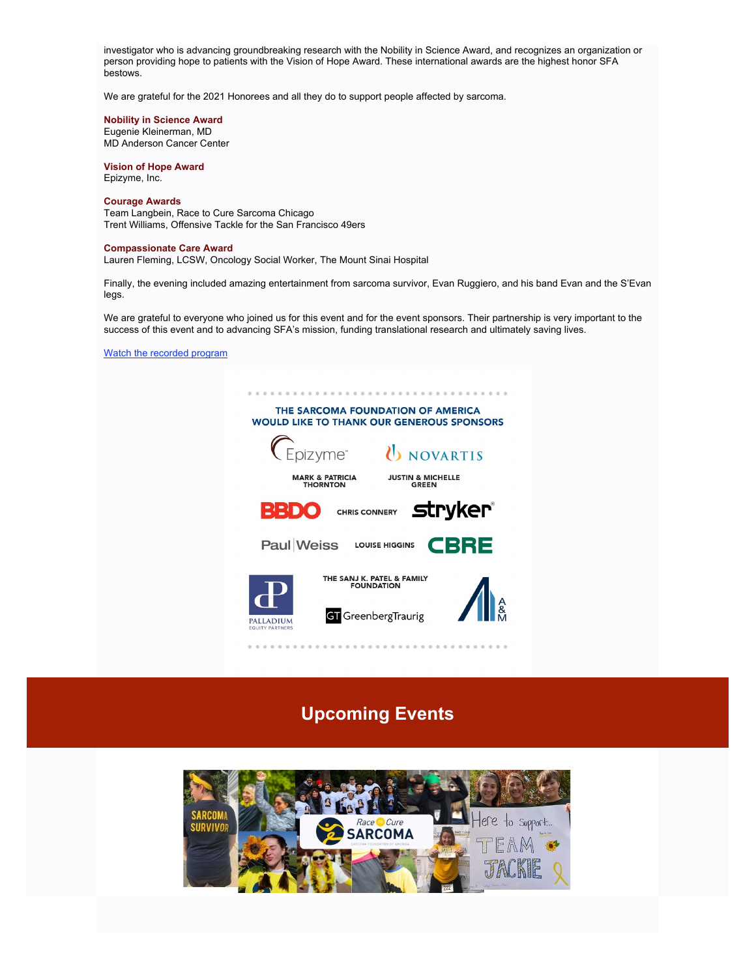investigator who is advancing groundbreaking research with the Nobility in Science Award, and recognizes an organization or person providing hope to patients with the Vision of Hope Award. These international awards are the highest honor SFA bestows.

We are grateful for the 2021 Honorees and all they do to support people affected by sarcoma.

#### Nobility in Science Award

Eugenie Kleinerman, MD MD Anderson Cancer Center

#### Vision of Hope Award Epizyme, Inc.

### Courage Awards

Team Langbein, Race to Cure Sarcoma Chicago Trent Williams, Offensive Tackle for the San Francisco 49ers

#### Compassionate Care Award

Lauren Fleming, LCSW, Oncology Social Worker, The Mount Sinai Hospital

Finally, the evening included amazing entertainment from sarcoma survivor, Evan Ruggiero, and his band Evan and the S'Evan legs.

We are grateful to everyone who joined us for this event and for the event sponsors. Their partnership is very important to the success of this event and to advancing SFA's mission, funding translational research and ultimately saving lives.

Watch the recorded program



# Upcoming Events